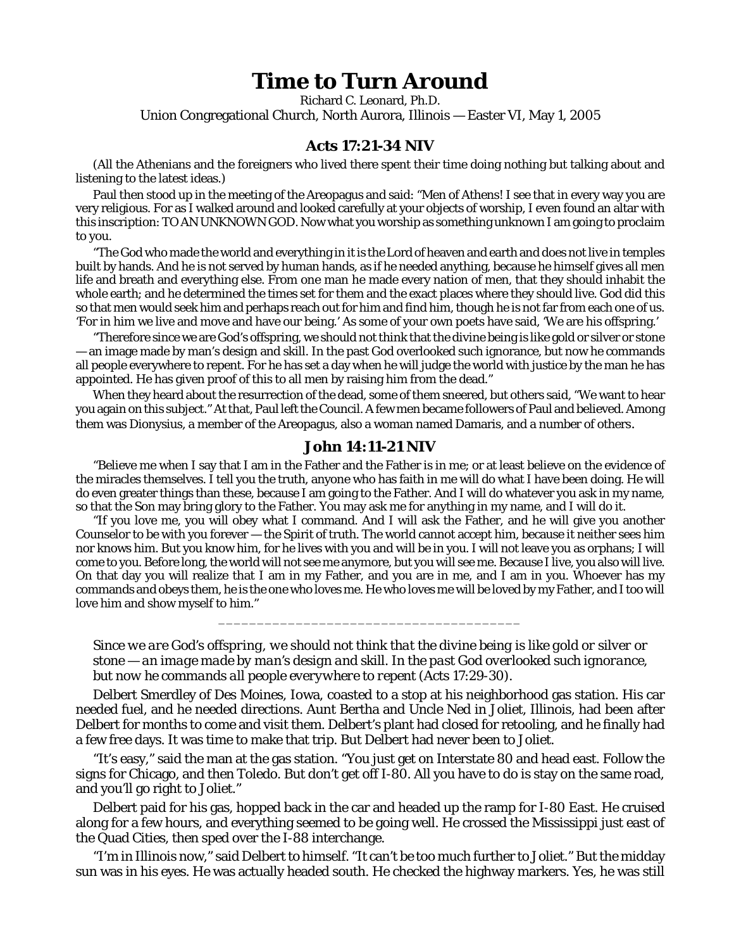## **Time to Turn Around**

Richard C. Leonard, Ph.D. Union Congregational Church, North Aurora, Illinois — Easter VI, May 1, 2005

## **Acts 17:21-34 NIV**

(All the Athenians and the foreigners who lived there spent their time doing nothing but talking about and listening to the latest ideas.)

Paul then stood up in the meeting of the Areopagus and said: "Men of Athens! I see that in every way you are very religious. For as I walked around and looked carefully at your objects of worship, I even found an altar with this inscription: TO AN UNKNOWN GOD. Now what you worship as something unknown I am going to proclaim to you.

"The God who made the world and everything in it is the Lord of heaven and earth and does not live in temples built by hands. And he is not served by human hands, as if he needed anything, because he himself gives all men life and breath and everything else. From one man he made every nation of men, that they should inhabit the whole earth; and he determined the times set for them and the exact places where they should live. God did this so that men would seek him and perhaps reach out for him and find him, though he is not far from each one of us. 'For in him we live and move and have our being.' As some of your own poets have said, 'We are his offspring.'

"Therefore since we are God's offspring, we should not think that the divine being is like gold or silver or stone — an image made by man's design and skill. In the past God overlooked such ignorance, but now he commands all people everywhere to repent. For he has set a day when he will judge the world with justice by the man he has appointed. He has given proof of this to all men by raising him from the dead."

When they heard about the resurrection of the dead, some of them sneered, but others said, "We want to hear you again on this subject." At that, Paul left the Council. A few men became followers of Paul and believed. Among them was Dionysius, a member of the Areopagus, also a woman named Damaris, and a number of others.

## **John 14:11-21 NIV**

"Believe me when I say that I am in the Father and the Father is in me; or at least believe on the evidence of the miracles themselves. I tell you the truth, anyone who has faith in me will do what I have been doing. He will do even greater things than these, because I am going to the Father. And I will do whatever you ask in my name, so that the Son may bring glory to the Father. You may ask me for anything in my name, and I will do it.

"If you love me, you will obey what I command. And I will ask the Father, and he will give you another Counselor to be with you forever — the Spirit of truth. The world cannot accept him, because it neither sees him nor knows him. But you know him, for he lives with you and will be in you. I will not leave you as orphans; I will come to you. Before long, the world will not see me anymore, but you will see me. Because I live, you also will live. On that day you will realize that I am in my Father, and you are in me, and I am in you. Whoever has my commands and obeys them, he is the one who loves me. He who loves me will be loved by my Father, and I too will love him and show myself to him."

*Since we are God's offspring, we should not think that the divine being is like gold or silver or stone — an image made by man's design and skill. In the past God overlooked such ignorance, but now he commands all people everywhere to repent* (Acts 17:29-30).

\_\_\_\_\_\_\_\_\_\_\_\_\_\_\_\_\_\_\_\_\_\_\_\_\_\_\_\_\_\_\_\_\_\_\_\_\_\_\_

Delbert Smerdley of Des Moines, Iowa, coasted to a stop at his neighborhood gas station. His car needed fuel, and he needed directions. Aunt Bertha and Uncle Ned in Joliet, Illinois, had been after Delbert for months to come and visit them. Delbert's plant had closed for retooling, and he finally had a few free days. It was time to make that trip. But Delbert had never been to Joliet.

"It's easy," said the man at the gas station. "You just get on Interstate 80 and head east. Follow the signs for Chicago, and then Toledo. But don't get off I-80. All you have to do is stay on the same road, and you'll go right to Joliet."

Delbert paid for his gas, hopped back in the car and headed up the ramp for I-80 East. He cruised along for a few hours, and everything seemed to be going well. He crossed the Mississippi just east of the Quad Cities, then sped over the I-88 interchange.

"I'm in Illinois now," said Delbert to himself. "It can't be too much further to Joliet." But the midday sun was in his eyes. He was actually headed south. He checked the highway markers. Yes, he was still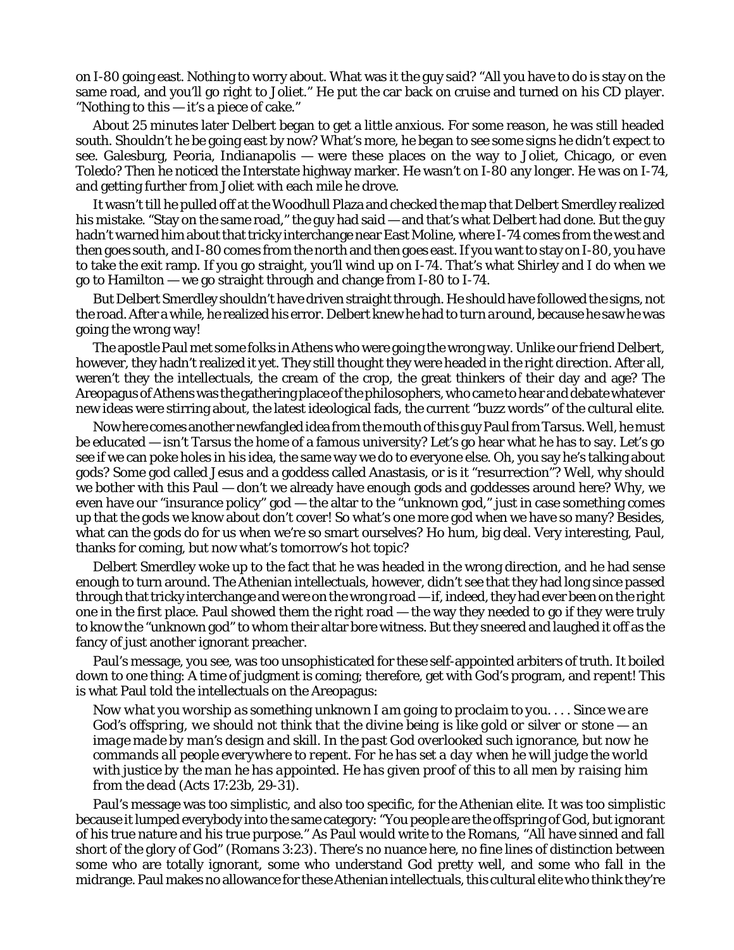on I-80 going east. Nothing to worry about. What was it the guy said? "All you have to do is stay on the same road, and you'll go right to Joliet." He put the car back on cruise and turned on his CD player. "Nothing to this — it's a piece of cake."

About 25 minutes later Delbert began to get a little anxious. For some reason, he was still headed south. Shouldn't he be going east by now? What's more, he began to see some signs he didn't expect to see. Galesburg, Peoria, Indianapolis — were these places on the way to Joliet, Chicago, or even Toledo? Then he noticed the Interstate highway marker. He wasn't on I-80 any longer. He was on I-74, and getting further from Joliet with each mile he drove.

It wasn't till he pulled off at the Woodhull Plaza and checked the map that Delbert Smerdley realized his mistake. "Stay on the same road," the guy had said — and that's what Delbert had done. But the guy hadn't warned him about that tricky interchange near East Moline, where I-74 comes from the west and then goes south, and I-80 comes from the north and then goes east. If you want to stay on I-80, you have to take the exit ramp. If you go straight, you'll wind up on I-74. That's what Shirley and I do when we go to Hamilton — we go straight through and change from I-80 to I-74.

But Delbert Smerdley shouldn't have driven straight through. He should have followed the signs, not the road. After a while, he realized his error. Delbert knew he had to *turn around*, because he saw he was going the wrong way!

The apostle Paul met some folks in Athens who were going the wrong way. Unlike our friend Delbert, however, they hadn't realized it yet. They still thought they were headed in the right direction. After all, weren't they the intellectuals, the cream of the crop, the great thinkers of their day and age? The Areopagus of Athens was the gathering place of the philosophers, who came to hear and debate whatever new ideas were stirring about, the latest ideological fads, the current "buzz words" of the cultural elite.

Now here comes another newfangled idea from the mouth of this guy Paul from Tarsus. Well, he must be educated — isn't Tarsus the home of a famous university? Let's go hear what he has to say. Let's go see if we can poke holes in *his* idea, the same way we do to everyone else. Oh, you say he's talking about gods? Some god called Jesus and a goddess called Anastasis, or is it "resurrection"? Well, why should we bother with this Paul — don't we already have enough gods and goddesses around here? Why, we even have our "insurance policy" god — the altar to the "unknown god," just in case something comes up that the gods we know about don't cover! So what's one more god when we have so many? Besides, what can the gods do for us when we're so smart ourselves? Ho hum, big deal. Very interesting, Paul, thanks for coming, but now what's tomorrow's hot topic?

Delbert Smerdley woke up to the fact that he was headed in the wrong direction, and he had sense enough to turn around. The Athenian intellectuals, however, didn't see that they had long since passed through that tricky interchange and were on the wrong road — if, indeed, they had ever been on the right one in the first place. Paul showed them the right road — the way they needed to go if they were truly to know the "unknown god" to whom their altar bore witness. But they sneered and laughed it off as the fancy of just another ignorant preacher.

Paul's message, you see, was too unsophisticated for these self-appointed arbiters of truth. It boiled down to one thing: A time of judgment is coming; therefore, get with God's program, and *repent!* This is what Paul told the intellectuals on the Areopagus:

*Now what you worship as something unknown I am going to proclaim to you. . . . Since we are God's offspring, we should not think that the divine being is like gold or silver or stone — an image made by man's design and skill. In the past God overlooked such ignorance, but now he commands all people everywhere to repent. For he has set a day when he will judge the world with justice by the man he has appointed. He has given proof of this to all men by raising him from the dead* (Acts 17:23b, 29-31)*.*

Paul's message was too simplistic, and also too specific, for the Athenian elite. It was too *simplistic* because it lumped everybody into the same category: "You people are the offspring of God, but ignorant of his true nature and his true purpose." As Paul would write to the Romans, "*All* have sinned and fall short of the glory of God" (Romans 3:23). There's no nuance here, no fine lines of distinction between some who are totally ignorant, some who understand God pretty well, and some who fall in the midrange. Paul makes no allowance for these Athenian intellectuals, this cultural elite who think they're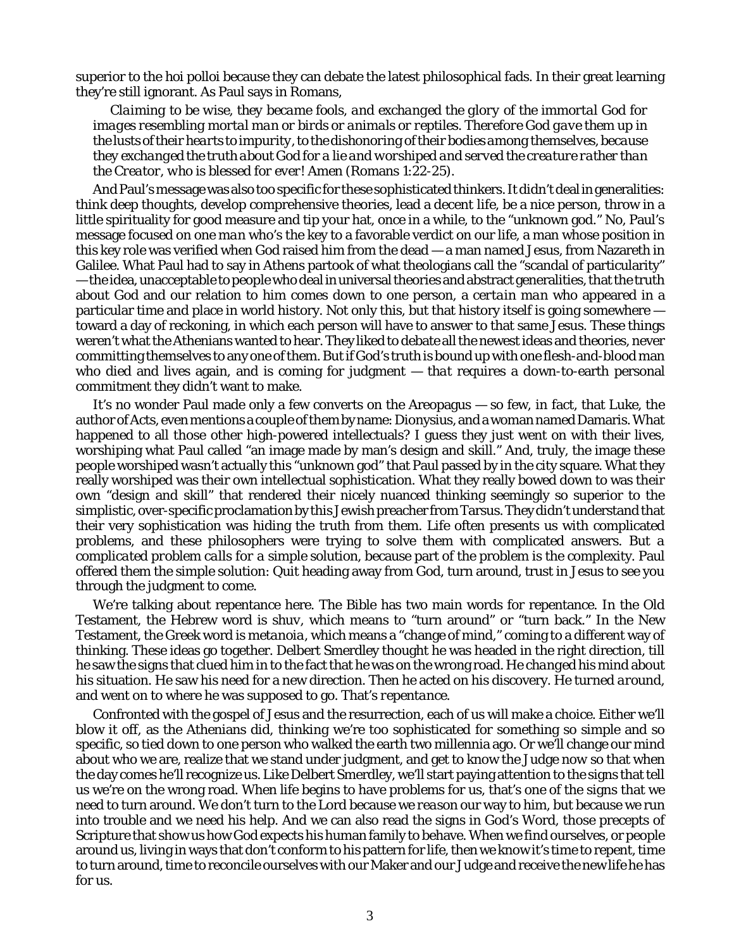superior to the *hoi polloi* because they can debate the latest philosophical fads. In their great learning they're still ignorant. As Paul says in Romans,

*Claiming to be wise, they became fools, and exchanged the glory of the immortal God for images resembling mortal man or birds or animals or reptiles. Therefore God gave them up in the lusts of their hearts to impurity, to the dishonoring of their bodies among themselves, because they exchanged the truth about God for a lie and worshiped and served the creature rather than the Creator, who is blessed for ever! Amen* (Romans 1:22-25).

And Paul's message was also too *specific* for these sophisticated thinkers. It didn't deal in generalities: think deep thoughts, develop comprehensive theories, lead a decent life, be a nice person, throw in a little spirituality for good measure and tip your hat, once in a while, to the "unknown god." No, Paul's message focused on *one man* who's the key to a favorable verdict on our life, a man whose position in this key role was verified when God raised him from the dead — a man named Jesus, from Nazareth in Galilee. What Paul had to say in Athens partook of what theologians call the "scandal of particularity" — the idea, unacceptable to people who deal in universal theories and abstract generalities, that the truth about God and our relation to him comes down to one person, a *certain man* who appeared in a particular time and place in world history. Not only this, but that history itself is going somewhere toward a day of reckoning, in which each person will have to answer to that same Jesus. These things weren't what the Athenians wanted to hear. They liked to debate all the newest ideas and theories, never committing themselves to any one of them. But if God's truth is bound up with one flesh-and-blood man who died and lives again, and is coming for judgment — *that* requires a down-to-earth personal commitment they didn't want to make.

It's no wonder Paul made only a few converts on the Areopagus — so few, in fact, that Luke, the author of Acts, even mentions a couple of them by name: Dionysius, and a woman named Damaris. What happened to all those other high-powered intellectuals? I guess they just went on with their lives, worshiping what Paul called "an image made by man's design and skill." And, truly, the image these people worshiped wasn't actually this "unknown god" that Paul passed by in the city square. What they really worshiped was their own intellectual sophistication. What they really bowed down to was their own "design and skill" that rendered their nicely nuanced thinking seemingly so superior to the simplistic, over-specific proclamation by this Jewish preacher from Tarsus. They didn't understand that their very sophistication was hiding the truth from them. Life often presents us with complicated problems, and these philosophers were trying to solve them with complicated answers. But *a complicated problem calls for a simple solution*, because part of the problem is the complexity. Paul offered them the simple solution: Quit heading away from God, turn around, trust in Jesus to see you through the judgment to come.

We're talking about repentance here. The Bible has two main words for repentance. In the Old Testament, the Hebrew word is *shuv*, which means to "turn around" or "turn back." In the New Testament, the Greek word is *metanoia*, which means a "change of mind," coming to a different way of thinking. These ideas go together. Delbert Smerdley thought he was headed in the right direction, till he saw the signs that clued him in to the fact that he was on the wrong road. He *changed his mind* about his situation. He saw his need for a new direction. Then he acted on his discovery. He *turned around*, and went on to where he was supposed to go. That's *repentance.*

Confronted with the gospel of Jesus and the resurrection, each of us will make a choice. Either we'll blow it off, as the Athenians did, thinking we're too sophisticated for something so simple and so specific, so tied down to one person who walked the earth two millennia ago. Or we'll change our mind about who we are, realize that we stand under judgment, and get to know the Judge *now* so that when the day comes he'll recognize us. Like Delbert Smerdley, we'll start paying attention to the signs that tell us we're on the wrong road. When life begins to have problems for us, that's one of the signs that we need to turn around. We don't turn to the Lord because we *reason* our way to him, but because we run into trouble and we need his help. And we can also read the signs in God's Word, those precepts of Scripture that show us how God expects his human family to behave. When we find ourselves, or people around us, living in ways that don't conform to his pattern for life, then we know it's time to repent, time to turn around, time to reconcile ourselves with our Maker and our Judge and receive the new life he has for us.